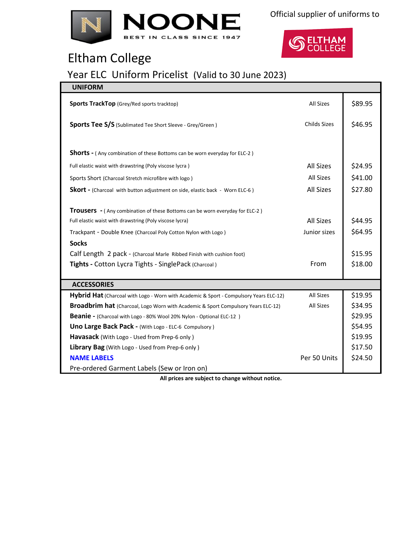



## Eltham College

## Year ELC Uniform Pricelist (Valid to 30 June 2023)

| <b>UNIFORM</b>                                                                         |                     |         |
|----------------------------------------------------------------------------------------|---------------------|---------|
| <b>Sports TrackTop</b> (Grey/Red sports tracktop)                                      | All Sizes           | \$89.95 |
| Sports Tee S/S (Sublimated Tee Short Sleeve - Grey/Green)                              | <b>Childs Sizes</b> | \$46.95 |
|                                                                                        |                     |         |
| <b>Shorts -</b> (Any combination of these Bottoms can be worn everyday for ELC-2)      |                     |         |
| Full elastic waist with drawstring (Poly viscose lycra)                                | <b>All Sizes</b>    | \$24.95 |
| Sports Short (Charcoal Stretch microfibre with logo)                                   | All Sizes           | \$41.00 |
| <b>Skort</b> - (Charcoal with button adjustment on side, elastic back - Worn ELC-6)    | <b>All Sizes</b>    | \$27.80 |
|                                                                                        |                     |         |
| <b>Trousers</b> - (Any combination of these Bottoms can be worn everyday for ELC-2)    |                     |         |
| Full elastic waist with drawstring (Poly viscose lycra)                                | <b>All Sizes</b>    | \$44.95 |
| Trackpant - Double Knee (Charcoal Poly Cotton Nylon with Logo)                         | Junior sizes        | \$64.95 |
| <b>Socks</b>                                                                           |                     |         |
| Calf Length 2 pack - (Charcoal Marle Ribbed Finish with cushion foot)                  |                     | \$15.95 |
| Tights - Cotton Lycra Tights - SinglePack (Charcoal)                                   | From                | \$18.00 |
|                                                                                        |                     |         |
| <b>ACCESSORIES</b>                                                                     |                     |         |
| Hybrid Hat (Charcoal with Logo - Worn with Academic & Sport - Compulsory Years ELC-12) | <b>All Sizes</b>    | \$19.95 |
| Broadbrim hat (Charcoal, Logo Worn with Academic & Sport Compulsory Years ELC-12)      | All Sizes           | \$34.95 |
| <b>Beanie -</b> (Charcoal with Logo - 80% Wool 20% Nylon - Optional ELC-12)            |                     | \$29.95 |
| Uno Large Back Pack - (With Logo - ELC-6 Compulsory)                                   |                     | \$54.95 |
| Havasack (With Logo - Used from Prep-6 only)                                           |                     | \$19.95 |
| Library Bag (With Logo - Used from Prep-6 only)                                        |                     | \$17.50 |
| <b>NAME LABELS</b>                                                                     | Per 50 Units        | \$24.50 |
| Pre-ordered Garment Labels (Sew or Iron on)                                            |                     |         |

**All prices are subject to change without notice.**